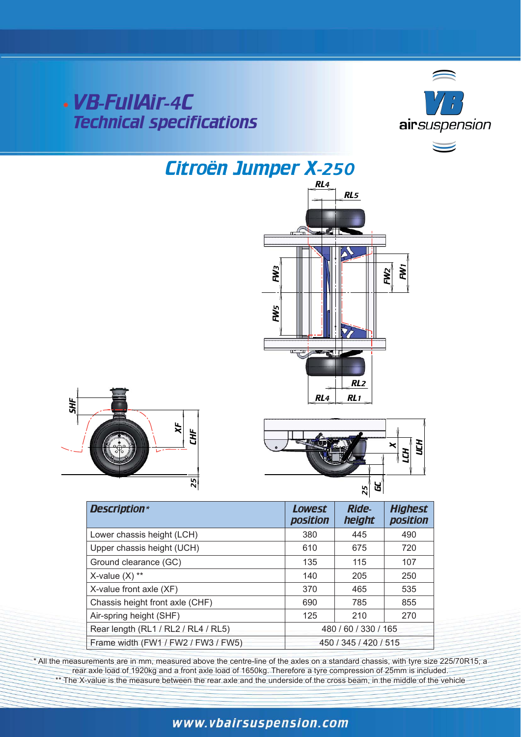VB-FullAir-4C Technical specifications



# Citroën Jumper X-250







| <b>Description*</b>                 | <b>Lowest</b><br>position | Ride-<br>height | <b>Highest</b><br>position |
|-------------------------------------|---------------------------|-----------------|----------------------------|
| Lower chassis height (LCH)          | 380                       | 445             | 490                        |
| Upper chassis height (UCH)          | 610                       | 675             | 720                        |
| Ground clearance (GC)               | 135                       | 115             | 107                        |
| X-value $(X)$ **                    | 140                       | 205             | 250                        |
| X-value front axle (XF)             | 370                       | 465             | 535                        |
| Chassis height front axle (CHF)     | 690                       | 785             | 855                        |
| Air-spring height (SHF)             | 125                       | 210             | 270                        |
| Rear length (RL1 / RL2 / RL4 / RL5) | 480 / 60 / 330 / 165      |                 |                            |
| Frame width (FW1 / FW2 / FW3 / FW5) | 450 / 345 / 420 / 515     |                 |                            |

\* All the measurements are in mm, measured above the centre-line of the axles on a standard chassis, with tyre size 225/70R15, a rear axle load of 1920kg and a front axle load of 1650kg. Therefore a tyre compression of 25mm is included. \*\* The X-value is the measure between the rear axle and the underside of the cross beam, in the middle of the vehicle

### www.vbairsuspension.com